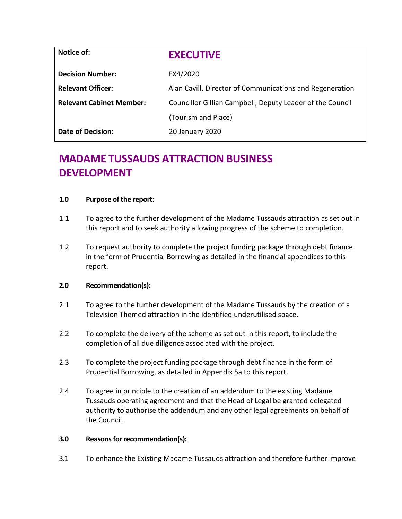| Notice of:                      | <b>EXECUTIVE</b>                                          |  |  |
|---------------------------------|-----------------------------------------------------------|--|--|
| <b>Decision Number:</b>         | EX4/2020                                                  |  |  |
| <b>Relevant Officer:</b>        | Alan Cavill, Director of Communications and Regeneration  |  |  |
| <b>Relevant Cabinet Member:</b> | Councillor Gillian Campbell, Deputy Leader of the Council |  |  |
|                                 | (Tourism and Place)                                       |  |  |
| <b>Date of Decision:</b>        | 20 January 2020                                           |  |  |

# **MADAME TUSSAUDS ATTRACTION BUSINESS DEVELOPMENT**

#### **1.0 Purpose of the report:**

- 1.1 To agree to the further development of the Madame Tussauds attraction as set out in this report and to seek authority allowing progress of the scheme to completion.
- 1.2 To request authority to complete the project funding package through debt finance in the form of Prudential Borrowing as detailed in the financial appendices to this report.

# **2.0 Recommendation(s):**

- 2.1 To agree to the further development of the Madame Tussauds by the creation of a Television Themed attraction in the identified underutilised space.
- 2.2 To complete the delivery of the scheme as set out in this report, to include the completion of all due diligence associated with the project.
- 2.3 To complete the project funding package through debt finance in the form of Prudential Borrowing, as detailed in Appendix 5a to this report.
- 2.4 To agree in principle to the creation of an addendum to the existing Madame Tussauds operating agreement and that the Head of Legal be granted delegated authority to authorise the addendum and any other legal agreements on behalf of the Council.

#### **3.0 Reasons for recommendation(s):**

3.1 To enhance the Existing Madame Tussauds attraction and therefore further improve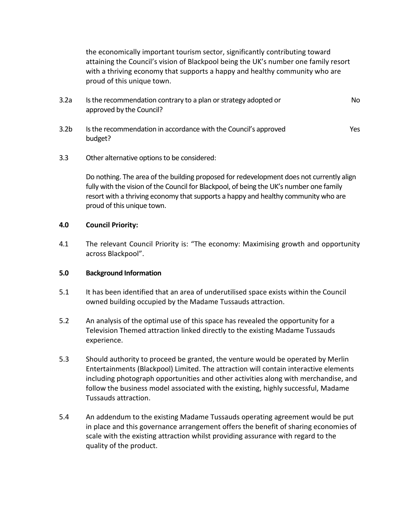the economically important tourism sector, significantly contributing toward attaining the Council's vision of Blackpool being the UK's number one family resort with a thriving economy that supports a happy and healthy community who are proud of this unique town.

| 3.2a | Is the recommendation contrary to a plan or strategy adopted or | No. |
|------|-----------------------------------------------------------------|-----|
|      | approved by the Council?                                        |     |

- 3.2b Is the recommendation in accordance with the Council's approved budget? Yes
- 3.3 Other alternative options to be considered:

Do nothing. The area of the building proposed for redevelopment does not currently align fully with the vision of the Council for Blackpool, of being the UK's number one family resort with a thriving economy that supports a happy and healthy community who are proud of this unique town.

#### **4.0 Council Priority:**

4.1 The relevant Council Priority is: "The economy: Maximising growth and opportunity across Blackpool".

# **5.0 Background Information**

- 5.1 It has been identified that an area of underutilised space exists within the Council owned building occupied by the Madame Tussauds attraction.
- 5.2 An analysis of the optimal use of this space has revealed the opportunity for a Television Themed attraction linked directly to the existing Madame Tussauds experience.
- 5.3 Should authority to proceed be granted, the venture would be operated by Merlin Entertainments (Blackpool) Limited. The attraction will contain interactive elements including photograph opportunities and other activities along with merchandise, and follow the business model associated with the existing, highly successful, Madame Tussauds attraction.
- 5.4 An addendum to the existing Madame Tussauds operating agreement would be put in place and this governance arrangement offers the benefit of sharing economies of scale with the existing attraction whilst providing assurance with regard to the quality of the product.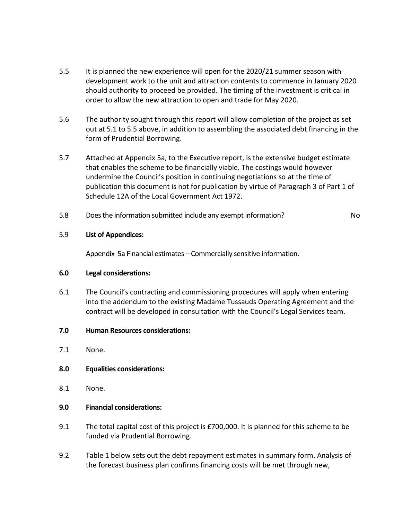- 5.5 It is planned the new experience will open for the 2020/21 summer season with development work to the unit and attraction contents to commence in January 2020 should authority to proceed be provided. The timing of the investment is critical in order to allow the new attraction to open and trade for May 2020.
- 5.6 The authority sought through this report will allow completion of the project as set out at 5.1 to 5.5 above, in addition to assembling the associated debt financing in the form of Prudential Borrowing.
- 5.7 Attached at Appendix 5a, to the Executive report, is the extensive budget estimate that enables the scheme to be financially viable. The costings would however undermine the Council's position in continuing negotiations so at the time of publication this document is not for publication by virtue of Paragraph 3 of Part 1 of Schedule 12A of the Local Government Act 1972.
- 5.8 Does the information submitted include any exempt information? No

# 5.9 **List of Appendices:**

Appendix 5a Financial estimates – Commercially sensitive information.

# **6.0 Legal considerations:**

- 6.1 The Council's contracting and commissioning procedures will apply when entering into the addendum to the existing Madame Tussauds Operating Agreement and the contract will be developed in consultation with the Council's Legal Services team.
- **7.0 Human Resources considerations:**
- 7.1 None.

# **8.0 Equalities considerations:**

8.1 None.

# **9.0 Financial considerations:**

- 9.1 The total capital cost of this project is £700,000. It is planned for this scheme to be funded via Prudential Borrowing.
- 9.2 Table 1 below sets out the debt repayment estimates in summary form. Analysis of the forecast business plan confirms financing costs will be met through new,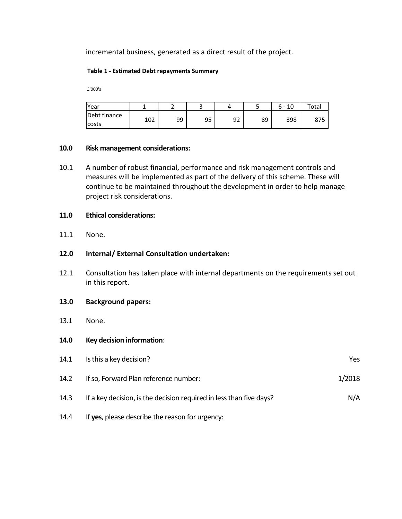incremental business, generated as a direct result of the project.

#### **Table 1 - Estimated Debt repayments Summary**

£'000's

| <b>IYear</b> |     |    | ۔  |    |    | 10<br>հ - | $\tau$ otal |
|--------------|-----|----|----|----|----|-----------|-------------|
| Debt finance | 102 | 99 | 95 | 92 | 89 | 398       | <b>07F</b>  |
| <b>COSTS</b> | TNT |    |    |    |    |           | 01J         |

#### **10.0 Risk management considerations:**

10.1 A number of robust financial, performance and risk management controls and measures will be implemented as part of the delivery of this scheme. These will continue to be maintained throughout the development in order to help manage project risk considerations.

#### **11.0 Ethical considerations:**

11.1 None.

# **12.0 Internal/ External Consultation undertaken:**

12.1 Consultation has taken place with internal departments on the requirements set out in this report.

#### **13.0 Background papers:**

- 13.1 None.
- **14.0 Key decision information**:

| 14.1 | Is this a key decision?                                             | Yes    |
|------|---------------------------------------------------------------------|--------|
| 14.2 | If so, Forward Plan reference number:                               | 1/2018 |
| 14.3 | If a key decision, is the decision required in less than five days? | N/A    |
| 14.4 | If yes, please describe the reason for urgency:                     |        |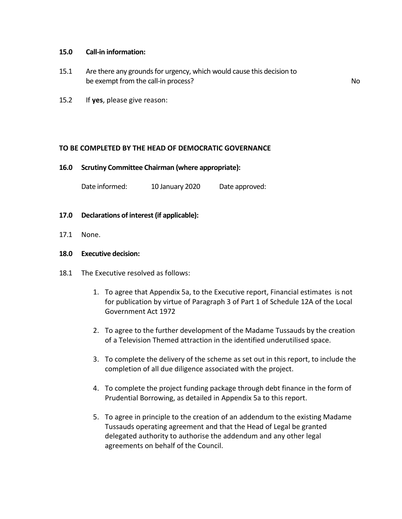#### **15.0 Call-in information:**

15.1 Are there any grounds for urgency, which would cause this decision to be exempt from the call-in process? No was a set of the call-in process?

15.2 If **yes**, please give reason:

#### **TO BE COMPLETED BY THE HEAD OF DEMOCRATIC GOVERNANCE**

#### **16.0 Scrutiny Committee Chairman (where appropriate):**

Date informed: 10 January 2020 Date approved:

- **17.0 Declarations of interest (if applicable):**
- 17.1 None.

#### **18.0 Executive decision:**

- 18.1 The Executive resolved as follows:
	- 1. To agree that Appendix 5a, to the Executive report, Financial estimates is not for publication by virtue of Paragraph 3 of Part 1 of Schedule 12A of the Local Government Act 1972
	- 2. To agree to the further development of the Madame Tussauds by the creation of a Television Themed attraction in the identified underutilised space.
	- 3. To complete the delivery of the scheme as set out in this report, to include the completion of all due diligence associated with the project.
	- 4. To complete the project funding package through debt finance in the form of Prudential Borrowing, as detailed in Appendix 5a to this report.
	- 5. To agree in principle to the creation of an addendum to the existing Madame Tussauds operating agreement and that the Head of Legal be granted delegated authority to authorise the addendum and any other legal agreements on behalf of the Council.